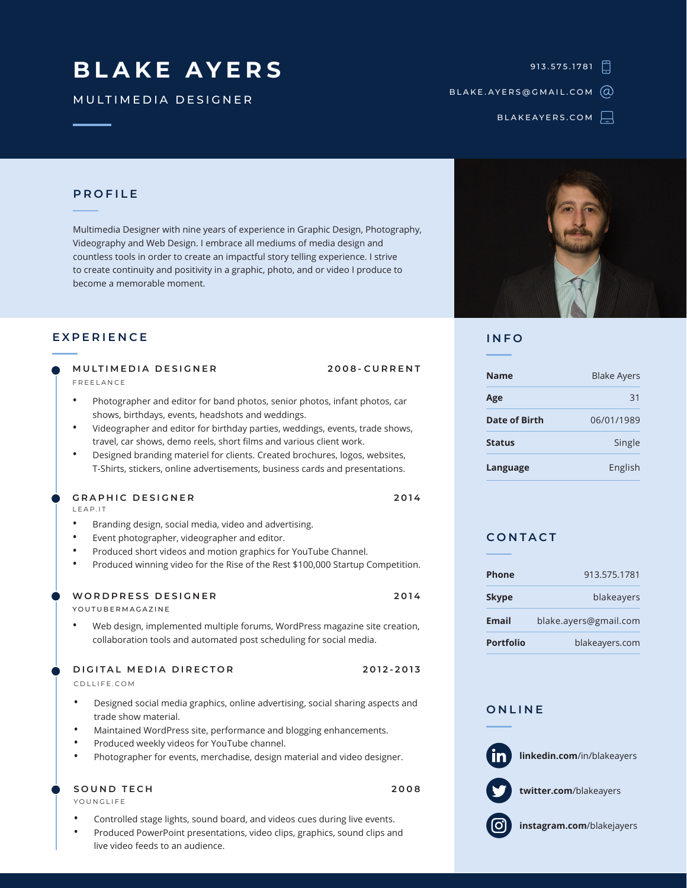# **BLAKE AYERS**

MULTIMEDIA DESIGNER

913.575.1781

BLAKE.AYERS@GMAIL.COM

BLAKEAYERS.COM

## **PROFILE**

Multimedia Designer with nine years of experience in Graphic Design, Photography, Videography and Web Design. I embrace all mediums of media design and countless tools in order to create an impactful story telling experience. I strive to create continuity and positivity in a graphic, photo, and or video I produce to become a memorable moment.

#### **EXPERIENCE**

| MULTIMEDIA DESIGNER |  |
|---------------------|--|
| FREEI ANCE          |  |

- Photographer and editor for band photos, senior photos, infant photos, car shows, birthdays, events, headshots and weddings.
- Videographer and editor for birthday parties, weddings, events, trade shows, travel, car shows, demo reels, short films and various client work.
- Designed branding materiel for clients. Created brochures, logos, websites, T-Shirts, stickers, online advertisements, business cards and presentations.

#### **GRAPHIC DESIGNER 2014**

LEAP.IT

- Branding design, social media, video and advertising.
- Event photographer, videographer and editor.
- Produced short videos and motion graphics for YouTube Channel.
- Produced winning video for the Rise of the Rest \$100,000 Startup Competition.

### **WORDPRESS DESIGNER 2014**

YOUTUBERMAGAZINE

• Web design, implemented multiple forums, WordPress magazine site creation, collaboration tools and automated post scheduling for social media.

**DIGITAL MEDIA DIRECTOR 2012-2013**

CDLLIFE.COM

- Designed social media graphics, online advertising, social sharing aspects and trade show material.
- Maintained WordPress site, performance and blogging enhancements.
- Produced weekly videos for YouTube channel.
- Photographer for events, merchadise, design material and video designer.

#### **SOUND TECH 2008**

YOUNGLIFE

- Controlled stage lights, sound board, and videos cues during live events.
- Produced PowerPoint presentations, video clips, graphics, sound clips and live video feeds to an audience.



#### **INFO**

**MULTIMEDIA DESIGNER 2008-CURRENT**

| <b>Name</b>          | <b>Blake Avers</b> |  |
|----------------------|--------------------|--|
| Age                  | 31                 |  |
| <b>Date of Birth</b> | 06/01/1989         |  |
| <b>Status</b>        | Single             |  |
| Language             | English            |  |

### **CONTACT**

| <b>Phone</b>     | 913.575.1781          |  |
|------------------|-----------------------|--|
| <b>Skype</b>     | blakeayers            |  |
| Email            | blake.ayers@gmail.com |  |
| <b>Portfolio</b> | blakeayers.com        |  |

#### **ONLINE**